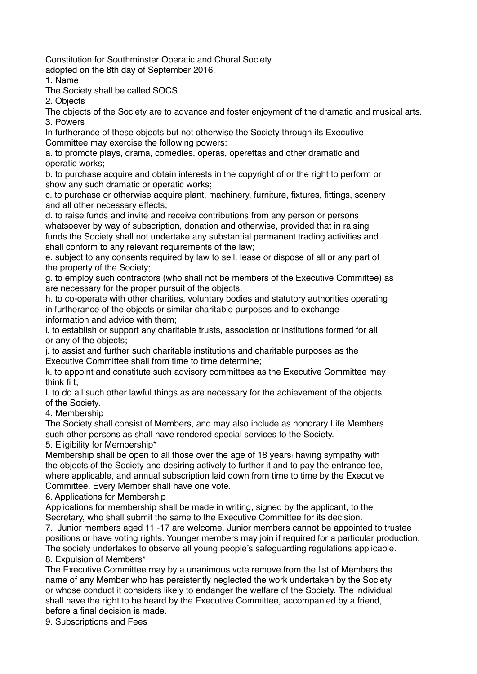Constitution for Southminster Operatic and Choral Society

adopted on the 8th day of September 2016.

1. Name

The Society shall be called SOCS

2. Objects

The objects of the Society are to advance and foster enjoyment of the dramatic and musical arts. 3. Powers

In furtherance of these objects but not otherwise the Society through its Executive Committee may exercise the following powers:

a. to promote plays, drama, comedies, operas, operettas and other dramatic and operatic works;

b. to purchase acquire and obtain interests in the copyright of or the right to perform or show any such dramatic or operatic works;

c. to purchase or otherwise acquire plant, machinery, furniture, fixtures, fittings, scenery and all other necessary effects;

d. to raise funds and invite and receive contributions from any person or persons whatsoever by way of subscription, donation and otherwise, provided that in raising funds the Society shall not undertake any substantial permanent trading activities and shall conform to any relevant requirements of the law;

e. subject to any consents required by law to sell, lease or dispose of all or any part of the property of the Society;

g. to employ such contractors (who shall not be members of the Executive Committee) as are necessary for the proper pursuit of the objects.

h. to co-operate with other charities, voluntary bodies and statutory authorities operating in furtherance of the objects or similar charitable purposes and to exchange information and advice with them;

i. to establish or support any charitable trusts, association or institutions formed for all or any of the objects;

j. to assist and further such charitable institutions and charitable purposes as the Executive Committee shall from time to time determine;

k. to appoint and constitute such advisory committees as the Executive Committee may think fi th

l. to do all such other lawful things as are necessary for the achievement of the objects of the Society.

4. Membership

The Society shall consist of Members, and may also include as honorary Life Members such other persons as shall have rendered special services to the Society.

5. Eligibility for Membership\*

Membership shall be open to all those over the age of 18 years $_1$  having sympathy with the objects of the Society and desiring actively to further it and to pay the entrance fee, where applicable, and annual subscription laid down from time to time by the Executive Committee. Every Member shall have one vote.

6. Applications for Membership

Applications for membership shall be made in writing, signed by the applicant, to the Secretary, who shall submit the same to the Executive Committee for its decision.

7. Junior members aged 11 -17 are welcome. Junior members cannot be appointed to trustee positions or have voting rights. Younger members may join if required for a particular production. The society undertakes to observe all young people's safeguarding regulations applicable. 8. Expulsion of Members\*

The Executive Committee may by a unanimous vote remove from the list of Members the name of any Member who has persistently neglected the work undertaken by the Society or whose conduct it considers likely to endanger the welfare of the Society. The individual shall have the right to be heard by the Executive Committee, accompanied by a friend, before a final decision is made.

9. Subscriptions and Fees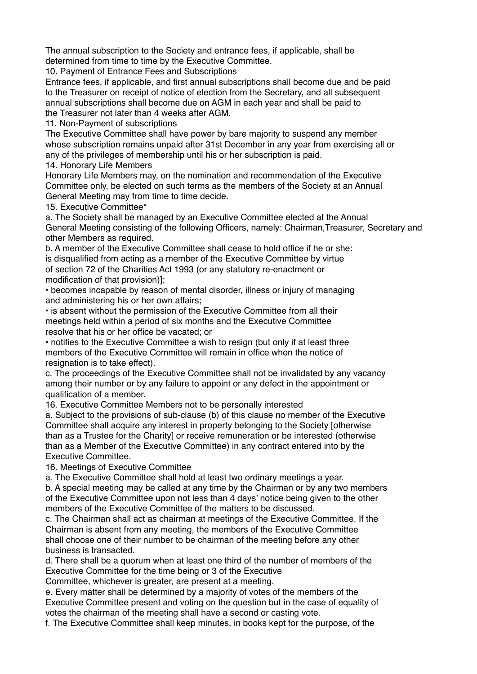The annual subscription to the Society and entrance fees, if applicable, shall be determined from time to time by the Executive Committee.

10. Payment of Entrance Fees and Subscriptions

Entrance fees, if applicable, and first annual subscriptions shall become due and be paid to the Treasurer on receipt of notice of election from the Secretary, and all subsequent annual subscriptions shall become due on AGM in each year and shall be paid to the Treasurer not later than 4 weeks after AGM.

11. Non-Payment of subscriptions

The Executive Committee shall have power by bare majority to suspend any member whose subscription remains unpaid after 31st December in any year from exercising all or any of the privileges of membership until his or her subscription is paid.

14. Honorary Life Members

Honorary Life Members may, on the nomination and recommendation of the Executive Committee only, be elected on such terms as the members of the Society at an Annual General Meeting may from time to time decide.

15. Executive Committee\*

a. The Society shall be managed by an Executive Committee elected at the Annual General Meeting consisting of the following Officers, namely: Chairman,Treasurer, Secretary and other Members as required.

b. A member of the Executive Committee shall cease to hold office if he or she: is disqualified from acting as a member of the Executive Committee by virtue of section 72 of the Charities Act 1993 (or any statutory re-enactment or modification of that provision)];

• becomes incapable by reason of mental disorder, illness or injury of managing and administering his or her own affairs;

• is absent without the permission of the Executive Committee from all their meetings held within a period of six months and the Executive Committee resolve that his or her office be vacated; or

• notifies to the Executive Committee a wish to resign (but only if at least three members of the Executive Committee will remain in office when the notice of resignation is to take effect).

c. The proceedings of the Executive Committee shall not be invalidated by any vacancy among their number or by any failure to appoint or any defect in the appointment or qualification of a member.

16. Executive Committee Members not to be personally interested

a. Subject to the provisions of sub-clause (b) of this clause no member of the Executive Committee shall acquire any interest in property belonging to the Society [otherwise than as a Trustee for the Charity] or receive remuneration or be interested (otherwise than as a Member of the Executive Committee) in any contract entered into by the Executive Committee.

16. Meetings of Executive Committee

a. The Executive Committee shall hold at least two ordinary meetings a year.

b. A special meeting may be called at any time by the Chairman or by any two members of the Executive Committee upon not less than 4 days' notice being given to the other members of the Executive Committee of the matters to be discussed.

c. The Chairman shall act as chairman at meetings of the Executive Committee. If the Chairman is absent from any meeting, the members of the Executive Committee shall choose one of their number to be chairman of the meeting before any other business is transacted.

d. There shall be a quorum when at least one third of the number of members of the Executive Committee for the time being or 3 of the Executive

Committee, whichever is greater, are present at a meeting.

e. Every matter shall be determined by a majority of votes of the members of the Executive Committee present and voting on the question but in the case of equality of votes the chairman of the meeting shall have a second or casting vote.

f. The Executive Committee shall keep minutes, in books kept for the purpose, of the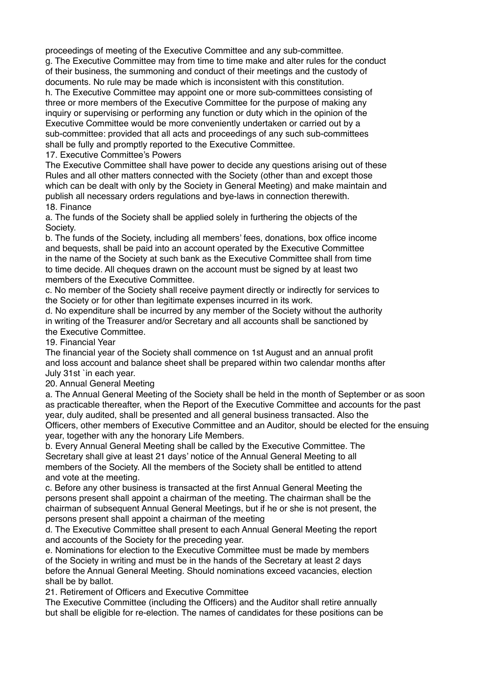proceedings of meeting of the Executive Committee and any sub-committee.

g. The Executive Committee may from time to time make and alter rules for the conduct of their business, the summoning and conduct of their meetings and the custody of documents. No rule may be made which is inconsistent with this constitution.

h. The Executive Committee may appoint one or more sub-committees consisting of three or more members of the Executive Committee for the purpose of making any inquiry or supervising or performing any function or duty which in the opinion of the Executive Committee would be more conveniently undertaken or carried out by a sub-committee: provided that all acts and proceedings of any such sub-committees shall be fully and promptly reported to the Executive Committee.

17. Executive Committee's Powers

The Executive Committee shall have power to decide any questions arising out of these Rules and all other matters connected with the Society (other than and except those which can be dealt with only by the Society in General Meeting) and make maintain and publish all necessary orders regulations and bye-laws in connection therewith. 18. Finance

a. The funds of the Society shall be applied solely in furthering the objects of the Society.

b. The funds of the Society, including all members' fees, donations, box office income and bequests, shall be paid into an account operated by the Executive Committee in the name of the Society at such bank as the Executive Committee shall from time to time decide. All cheques drawn on the account must be signed by at least two members of the Executive Committee.

c. No member of the Society shall receive payment directly or indirectly for services to the Society or for other than legitimate expenses incurred in its work.

d. No expenditure shall be incurred by any member of the Society without the authority in writing of the Treasurer and/or Secretary and all accounts shall be sanctioned by the Executive Committee.

19. Financial Year

The financial year of the Society shall commence on 1st August and an annual profit and loss account and balance sheet shall be prepared within two calendar months after July 31st `in each year.

20. Annual General Meeting

a. The Annual General Meeting of the Society shall be held in the month of September or as soon as practicable thereafter, when the Report of the Executive Committee and accounts for the past year, duly audited, shall be presented and all general business transacted. Also the Officers, other members of Executive Committee and an Auditor, should be elected for the ensuing year, together with any the honorary Life Members.

b. Every Annual General Meeting shall be called by the Executive Committee. The Secretary shall give at least 21 days' notice of the Annual General Meeting to all members of the Society. All the members of the Society shall be entitled to attend and vote at the meeting.

c. Before any other business is transacted at the first Annual General Meeting the persons present shall appoint a chairman of the meeting. The chairman shall be the chairman of subsequent Annual General Meetings, but if he or she is not present, the persons present shall appoint a chairman of the meeting

d. The Executive Committee shall present to each Annual General Meeting the report and accounts of the Society for the preceding year.

e. Nominations for election to the Executive Committee must be made by members of the Society in writing and must be in the hands of the Secretary at least 2 days before the Annual General Meeting. Should nominations exceed vacancies, election shall be by ballot.

21. Retirement of Officers and Executive Committee

The Executive Committee (including the Officers) and the Auditor shall retire annually but shall be eligible for re-election. The names of candidates for these positions can be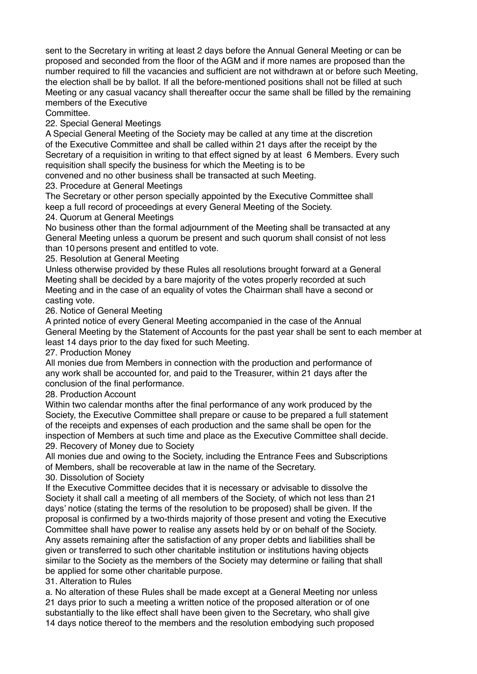sent to the Secretary in writing at least 2 days before the Annual General Meeting or can be proposed and seconded from the floor of the AGM and if more names are proposed than the number required to fill the vacancies and sufficient are not withdrawn at or before such Meeting, the election shall be by ballot. If all the before-mentioned positions shall not be filled at such Meeting or any casual vacancy shall thereafter occur the same shall be filled by the remaining members of the Executive

Committee.

22. Special General Meetings

A Special General Meeting of the Society may be called at any time at the discretion of the Executive Committee and shall be called within 21 days after the receipt by the Secretary of a requisition in writing to that effect signed by at least 6 Members. Every such requisition shall specify the business for which the Meeting is to be

convened and no other business shall be transacted at such Meeting.

23. Procedure at General Meetings

The Secretary or other person specially appointed by the Executive Committee shall keep a full record of proceedings at every General Meeting of the Society.

24. Quorum at General Meetings

No business other than the formal adjournment of the Meeting shall be transacted at any General Meeting unless a quorum be present and such quorum shall consist of not less than 10 persons present and entitled to vote.

25. Resolution at General Meeting

Unless otherwise provided by these Rules all resolutions brought forward at a General Meeting shall be decided by a bare majority of the votes properly recorded at such Meeting and in the case of an equality of votes the Chairman shall have a second or casting vote.

26. Notice of General Meeting

A printed notice of every General Meeting accompanied in the case of the Annual General Meeting by the Statement of Accounts for the past year shall be sent to each member at least 14 days prior to the day fixed for such Meeting.

27. Production Money

All monies due from Members in connection with the production and performance of any work shall be accounted for, and paid to the Treasurer, within 21 days after the conclusion of the final performance.

28. Production Account

Within two calendar months after the final performance of any work produced by the Society, the Executive Committee shall prepare or cause to be prepared a full statement of the receipts and expenses of each production and the same shall be open for the inspection of Members at such time and place as the Executive Committee shall decide. 29. Recovery of Money due to Society

All monies due and owing to the Society, including the Entrance Fees and Subscriptions of Members, shall be recoverable at law in the name of the Secretary.

30. Dissolution of Society

If the Executive Committee decides that it is necessary or advisable to dissolve the Society it shall call a meeting of all members of the Society, of which not less than 21 days' notice (stating the terms of the resolution to be proposed) shall be given. If the proposal is confirmed by a two-thirds majority of those present and voting the Executive Committee shall have power to realise any assets held by or on behalf of the Society. Any assets remaining after the satisfaction of any proper debts and liabilities shall be given or transferred to such other charitable institution or institutions having objects similar to the Society as the members of the Society may determine or failing that shall be applied for some other charitable purpose.

31. Alteration to Rules

a. No alteration of these Rules shall be made except at a General Meeting nor unless 21 days prior to such a meeting a written notice of the proposed alteration or of one substantially to the like effect shall have been given to the Secretary, who shall give 14 days notice thereof to the members and the resolution embodying such proposed